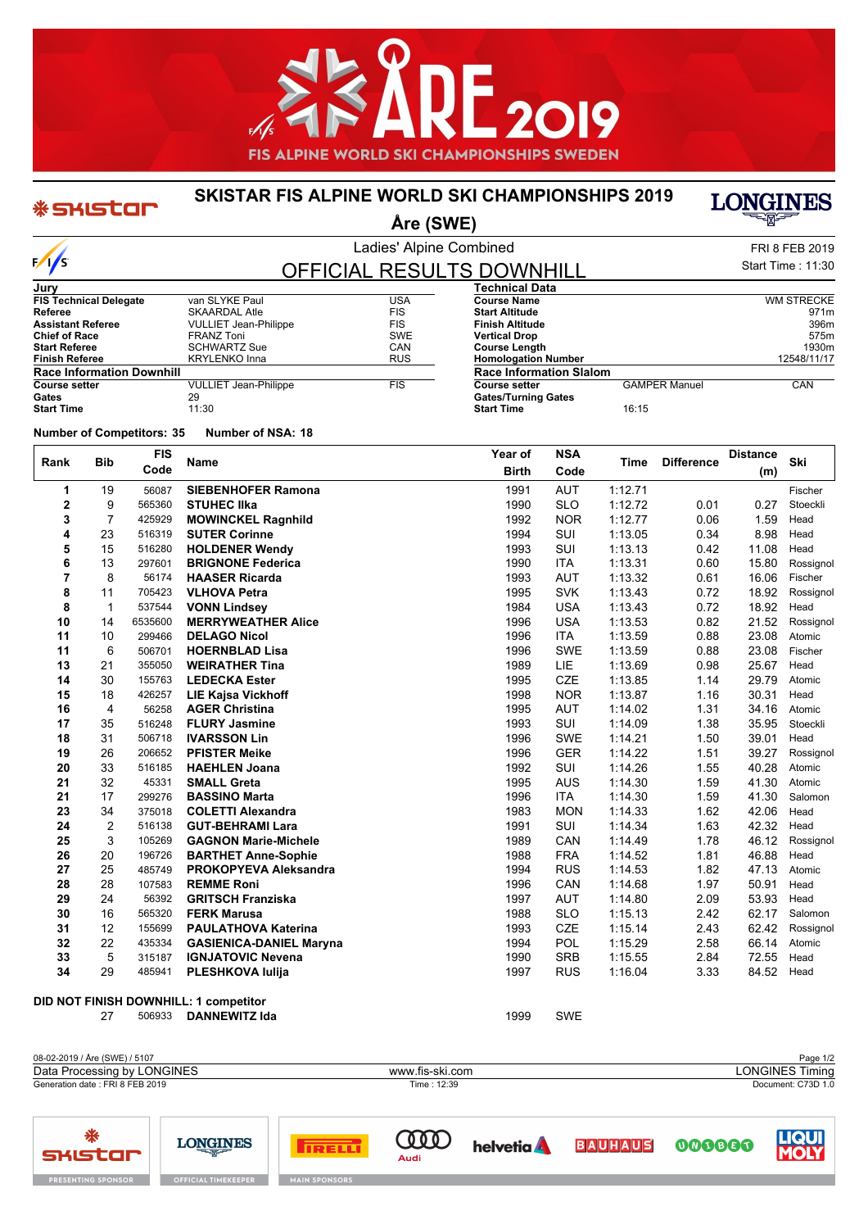

### **SKISTAR FIS ALPINE WORLD SKI CHAMPIONSHIPS 2019**



**Åre (SWE)**

**Homologation Number** 

**Gates/Turning Gates**

**Race Information Slalom**

**Start Time** 16:15

| $-1$ $-1$                |                   |
|--------------------------|-------------------|
| Ladies' Alpine Combined  | FRI 8 FEB 2019    |
| AL DECLII TC NAIAILIII I | Start Time: 11:30 |

**CAMPER Manuel CAN** 

**Course Name** WM STRECKE **Start Altitude** 971m<br> **Finish Altitude** 971m<br> **Start Altitude** 971m **Finish Altitude** 396m **Vertical Drop** 575m<br> **Course Length** 6.1 **Course 1998 Course Length** 1930m<br> **Homologation Number** 2008 2009 2014 2548/11/17

## OFFICIAL RESULTS DOWNHILL **Technical Data**

| Jury                             |                              |            |
|----------------------------------|------------------------------|------------|
| <b>FIS Technical Delegate</b>    | van SLYKE Paul               | USA        |
| Referee                          | SKAARDAL Atle                | <b>FIS</b> |
| <b>Assistant Referee</b>         | <b>VULLIET Jean-Philippe</b> | <b>FIS</b> |
| <b>Chief of Race</b>             | <b>FRANZ Toni</b>            | SWE        |
| <b>Start Referee</b>             | <b>SCHWARTZ Sue</b>          | CAN        |
| <b>Finish Referee</b>            | <b>KRYLENKO Inna</b>         | <b>RUS</b> |
| <b>Race Information Downhill</b> |                              |            |
| <b>Course setter</b>             | <b>VULLIET Jean-Philippe</b> | <b>FIS</b> |
| Gates                            | 29                           |            |
| <b>Start Time</b>                | 11:30                        |            |

#### **Number of Competitors: 35 Number of NSA: 18**

\* SKISTOF

 $\frac{1}{s}$ 

**RESENTING S** 

| Rank | <b>Bib</b>     | <b>FIS</b> | <b>Name</b>                           | Year of      | <b>NSA</b> | Time    | <b>Difference</b> | <b>Distance</b> | Ski       |
|------|----------------|------------|---------------------------------------|--------------|------------|---------|-------------------|-----------------|-----------|
|      |                | Code       |                                       | <b>Birth</b> | Code       |         |                   | (m)             |           |
| 1    | 19             | 56087      | <b>SIEBENHOFER Ramona</b>             | 1991         | <b>AUT</b> | 1:12.71 |                   |                 | Fischer   |
| 2    | 9              | 565360     | <b>STUHEC IIka</b>                    | 1990         | <b>SLO</b> | 1:12.72 | 0.01              | 0.27            | Stoeckli  |
| 3    | 7              | 425929     | <b>MOWINCKEL Ragnhild</b>             | 1992         | <b>NOR</b> | 1:12.77 | 0.06              | 1.59            | Head      |
| 4    | 23             | 516319     | <b>SUTER Corinne</b>                  | 1994         | <b>SUI</b> | 1:13.05 | 0.34              | 8.98            | Head      |
| 5    | 15             | 516280     | <b>HOLDENER Wendy</b>                 | 1993         | SUI        | 1:13.13 | 0.42              | 11.08           | Head      |
| 6    | 13             | 297601     | <b>BRIGNONE Federica</b>              | 1990         | <b>ITA</b> | 1:13.31 | 0.60              | 15.80           | Rossignol |
| 7    | 8              | 56174      | <b>HAASER Ricarda</b>                 | 1993         | <b>AUT</b> | 1:13.32 | 0.61              | 16.06           | Fischer   |
| 8    | 11             | 705423     | <b>VLHOVA Petra</b>                   | 1995         | <b>SVK</b> | 1:13.43 | 0.72              | 18.92           | Rossignol |
| 8    | $\mathbf{1}$   | 537544     | <b>VONN Lindsey</b>                   | 1984         | <b>USA</b> | 1:13.43 | 0.72              | 18.92           | Head      |
| 10   | 14             | 6535600    | <b>MERRYWEATHER Alice</b>             | 1996         | <b>USA</b> | 1:13.53 | 0.82              | 21.52           | Rossignol |
| 11   | 10             | 299466     | <b>DELAGO Nicol</b>                   | 1996         | <b>ITA</b> | 1:13.59 | 0.88              | 23.08           | Atomic    |
| 11   | 6              | 506701     | <b>HOERNBLAD Lisa</b>                 | 1996         | <b>SWE</b> | 1:13.59 | 0.88              | 23.08           | Fischer   |
| 13   | 21             | 355050     | <b>WEIRATHER Tina</b>                 | 1989         | LIE        | 1:13.69 | 0.98              | 25.67           | Head      |
| 14   | 30             | 155763     | <b>LEDECKA Ester</b>                  | 1995         | <b>CZE</b> | 1:13.85 | 1.14              | 29.79           | Atomic    |
| 15   | 18             | 426257     | <b>LIE Kajsa Vickhoff</b>             | 1998         | <b>NOR</b> | 1:13.87 | 1.16              | 30.31           | Head      |
| 16   | 4              | 56258      | <b>AGER Christina</b>                 | 1995         | <b>AUT</b> | 1:14.02 | 1.31              | 34.16           | Atomic    |
| 17   | 35             | 516248     | <b>FLURY Jasmine</b>                  | 1993         | SUI        | 1:14.09 | 1.38              | 35.95           | Stoeckli  |
| 18   | 31             | 506718     | <b>IVARSSON Lin</b>                   | 1996         | <b>SWE</b> | 1.14.21 | 1.50              | 39.01           | Head      |
| 19   | 26             | 206652     | <b>PFISTER Meike</b>                  | 1996         | <b>GER</b> | 1:14.22 | 1.51              | 39.27           | Rossignol |
| 20   | 33             | 516185     | <b>HAEHLEN Joana</b>                  | 1992         | <b>SUI</b> | 1:14.26 | 1.55              | 40.28           | Atomic    |
| 21   | 32             | 45331      | <b>SMALL Greta</b>                    | 1995         | <b>AUS</b> | 1:14.30 | 1.59              | 41.30           | Atomic    |
| 21   | 17             | 299276     | <b>BASSINO Marta</b>                  | 1996         | <b>ITA</b> | 1:14.30 | 1.59              | 41.30           | Salomon   |
| 23   | 34             | 375018     | <b>COLETTI Alexandra</b>              | 1983         | <b>MON</b> | 1:14.33 | 1.62              | 42.06           | Head      |
| 24   | $\overline{2}$ | 516138     | <b>GUT-BEHRAMI Lara</b>               | 1991         | SUI        | 1:14.34 | 1.63              | 42.32           | Head      |
| 25   | 3              | 105269     | <b>GAGNON Marie-Michele</b>           | 1989         | CAN        | 1:14.49 | 1.78              | 46.12           | Rossignol |
| 26   | 20             | 196726     | <b>BARTHET Anne-Sophie</b>            | 1988         | <b>FRA</b> | 1:14.52 | 1.81              | 46.88           | Head      |
| 27   | 25             | 485749     | <b>PROKOPYEVA Aleksandra</b>          | 1994         | <b>RUS</b> | 1:14.53 | 1.82              | 47.13           | Atomic    |
| 28   | 28             | 107583     | <b>REMME Roni</b>                     | 1996         | CAN        | 1.14.68 | 1.97              | 50.91           | Head      |
| 29   | 24             | 56392      | <b>GRITSCH Franziska</b>              | 1997         | <b>AUT</b> | 1:14.80 | 2.09              | 53.93           | Head      |
| 30   | 16             | 565320     | <b>FERK Marusa</b>                    | 1988         | <b>SLO</b> | 1:15.13 | 2.42              | 62.17           | Salomon   |
| 31   | 12             | 155699     | <b>PAULATHOVA Katerina</b>            | 1993         | <b>CZE</b> | 1:15.14 | 2.43              | 62.42           | Rossignol |
| 32   | 22             | 435334     | <b>GASIENICA-DANIEL Maryna</b>        | 1994         | POL        | 1:15.29 | 2.58              | 66.14           | Atomic    |
| 33   | 5              | 315187     | <b>IGNJATOVIC Nevena</b>              | 1990         | <b>SRB</b> | 1:15.55 | 2.84              | 72.55           | Head      |
| 34   | 29             | 485941     | PLESHKOVA lulija                      | 1997         | <b>RUS</b> | 1:16.04 | 3.33              | 84.52           | Head      |
|      |                |            | DID NOT FINISH DOWNHILL: 1 competitor |              |            |         |                   |                 |           |
|      | 27             | 506933     | <b>DANNEWITZ Ida</b>                  | 1999         | <b>SWE</b> |         |                   |                 |           |

08-02-2019 / Åre (SWE) / 5107 Page 1/2<br>
Data Processing by LONGINES **Data Processing by LONGINES** Timing Data Processing by LONGINES www.fis-ski.com Generation date : FRI 8 FEB 2019 Time : 12:39 Document: C73D 1.0 ₩ 000000